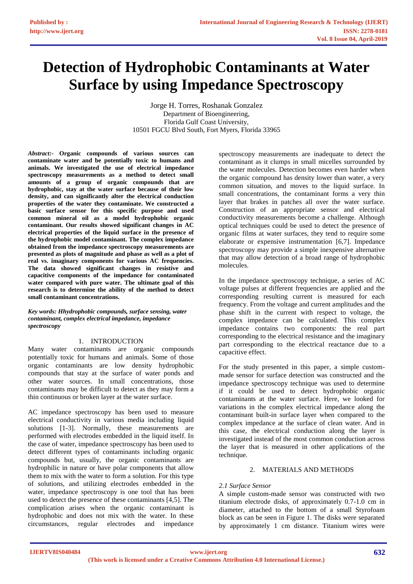# **Detection of Hydrophobic Contaminants at Water Surface by using Impedance Spectroscopy**

Jorge H. Torres, Roshanak Gonzalez Department of Bioengineering, Florida Gulf Coast University, 10501 FGCU Blvd South, Fort Myers, Florida 33965

*Abstract:-* **Organic compounds of various sources can contaminate water and be potentially toxic to humans and animals. We investigated the use of electrical impedance spectroscopy measurements as a method to detect small amounts of a group of organic compounds that are hydrophobic, stay at the water surface because of their low density, and can significantly alter the electrical conduction properties of the water they contaminate. We constructed a basic surface sensor for this specific purpose and used common mineral oil as a model hydrophobic organic contaminant. Our results showed significant changes in AC electrical properties of the liquid surface in the presence of the hydrophobic model contaminant. The complex impedance obtained from the impedance spectroscopy measurements are presented as plots of magnitude and phase as well as a plot of real vs. imaginary components for various AC frequencies. The data showed significant changes in resistive and capacitive components of the impedance for contaminated water compared with pure water. The ultimate goal of this research is to determine the ability of the method to detect small contaminant concentrations.** 

*Key words: Hhydrophobic compounds, surface sensing, water contaminant, complex electrical impedance, impedance spectroscopy*

## 1. INTRODUCTION

Many water contaminants are organic compounds potentially toxic for humans and animals. Some of those organic contaminants are low density hydrophobic compounds that stay at the surface of water ponds and other water sources. In small concentrations, those contaminants may be difficult to detect as they may form a thin continuous or broken layer at the water surface.

AC impedance spectroscopy has been used to measure electrical conductivity in various media including liquid solutions [1-3]. Normally, these measurements are performed with electrodes embedded in the liquid itself. In the case of water, impedance spectroscopy has been used to detect different types of contaminants including organic compounds but, usually, the organic contaminants are hydrophilic in nature or have polar components that allow them to mix with the water to form a solution. For this type of solutions, and utilizing electrodes embedded in the water, impedance spectroscopy is one tool that has been used to detect the presence of these contaminants [4,5]. The complication arises when the organic contaminant is hydrophobic and does not mix with the water. In these circumstances, regular electrodes and impedance

spectroscopy measurements are inadequate to detect the contaminant as it clumps in small micelles surrounded by the water molecules. Detection becomes even harder when the organic compound has density lower than water, a very common situation, and moves to the liquid surface. In small concentrations, the contaminant forms a very thin layer that brakes in patches all over the water surface. Construction of an appropriate sensor and electrical conductivity measurements become a challenge. Although optical techniques could be used to detect the presence of organic films at water surfaces, they tend to require some elaborate or expensive instrumentation [6,7]. Impedance spectroscopy may provide a simple inexpensive alternative that may allow detection of a broad range of hydrophobic molecules.

In the impedance spectroscopy technique, a series of AC voltage pulses at different frequencies are applied and the corresponding resulting current is measured for each frequency. From the voltage and current amplitudes and the phase shift in the current with respect to voltage, the complex impedance can be calculated. This complex impedance contains two components: the real part corresponding to the electrical resistance and the imaginary part corresponding to the electrical reactance due to a capacitive effect.

For the study presented in this paper, a simple custommade sensor for surface detection was constructed and the impedance spectroscopy technique was used to determine if it could be used to detect hydrophobic organic contaminants at the water surface. Here, we looked for variations in the complex electrical impedance along the contaminant built-in surface layer when compared to the complex impedance at the surface of clean water. And in this case, the electrical conduction along the layer is investigated instead of the most common conduction across the layer that is measured in other applications of the technique.

# 2. MATERIALS AND METHODS

## *2.1 Surface Sensor*

A simple custom-made sensor was constructed with two titanium electrode disks, of approximately 0.7-1.0 cm in diameter, attached to the bottom of a small Styrofoam block as can be seen in Figure 1. The disks were separated by approximately 1 cm distance. Titanium wires were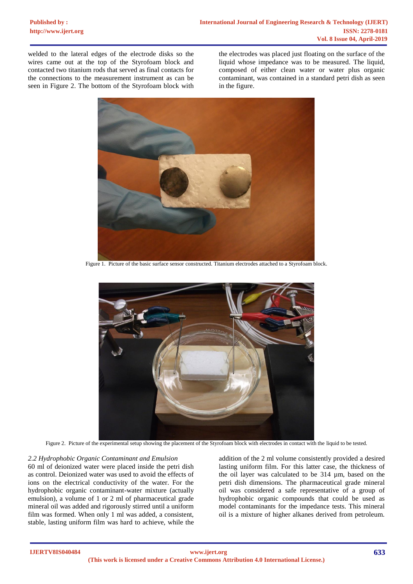welded to the lateral edges of the electrode disks so the wires came out at the top of the Styrofoam block and contacted two titanium rods that served as final contacts for the connections to the measurement instrument as can be seen in Figure 2. The bottom of the Styrofoam block with

the electrodes was placed just floating on the surface of the liquid whose impedance was to be measured. The liquid, composed of either clean water or water plus organic contaminant, was contained in a standard petri dish as seen in the figure.



Figure 1. Picture of the basic surface sensor constructed. Titanium electrodes attached to a Styrofoam block.



Figure 2. Picture of the experimental setup showing the placement of the Styrofoam block with electrodes in contact with the liquid to be tested.

## *2.2 Hydrophobic Organic Contaminant and Emulsion*

60 ml of deionized water were placed inside the petri dish as control. Deionized water was used to avoid the effects of ions on the electrical conductivity of the water. For the hydrophobic organic contaminant-water mixture (actually emulsion), a volume of 1 or 2 ml of pharmaceutical grade mineral oil was added and rigorously stirred until a uniform film was formed. When only 1 ml was added, a consistent, stable, lasting uniform film was hard to achieve, while the

addition of the 2 ml volume consistently provided a desired lasting uniform film. For this latter case, the thickness of the oil layer was calculated to be 314 µm, based on the petri dish dimensions. The pharmaceutical grade mineral oil was considered a safe representative of a group of hydrophobic organic compounds that could be used as model contaminants for the impedance tests. This mineral oil is a mixture of higher alkanes derived from petroleum.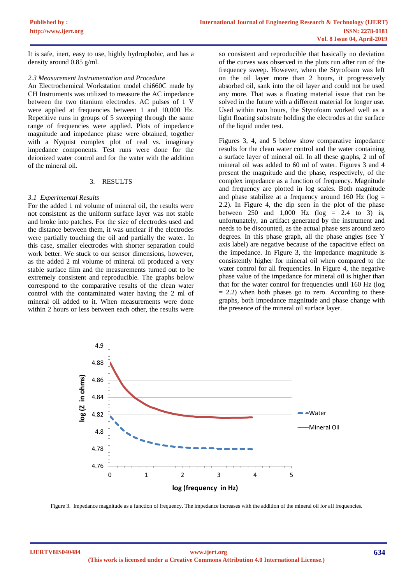It is safe, inert, easy to use, highly hydrophobic, and has a density around 0.85 g/ml.

#### *2.3 Measurement Instrumentation and Procedure*

An Electrochemical Workstation model chi660C made by CH Instruments was utilized to measure the AC impedance between the two titanium electrodes. AC pulses of 1 V were applied at frequencies between 1 and 10,000 Hz. Repetitive runs in groups of 5 sweeping through the same range of frequencies were applied. Plots of impedance magnitude and impedance phase were obtained, together with a Nyquist complex plot of real vs. imaginary impedance components. Test runs were done for the deionized water control and for the water with the addition of the mineral oil.

## 3. RESULTS

## *3.1 Experimental Results*

For the added 1 ml volume of mineral oil, the results were not consistent as the uniform surface layer was not stable and broke into patches. For the size of electrodes used and the distance between them, it was unclear if the electrodes were partially touching the oil and partially the water. In this case, smaller electrodes with shorter separation could work better. We stuck to our sensor dimensions, however, as the added 2 ml volume of mineral oil produced a very stable surface film and the measurements turned out to be extremely consistent and reproducible. The graphs below correspond to the comparative results of the clean water control with the contaminated water having the 2 ml of mineral oil added to it. When measurements were done within 2 hours or less between each other, the results were so consistent and reproducible that basically no deviation of the curves was observed in the plots run after run of the frequency sweep. However, when the Styrofoam was left on the oil layer more than 2 hours, it progressively absorbed oil, sank into the oil layer and could not be used any more. That was a floating material issue that can be solved in the future with a different material for longer use. Used within two hours, the Styrofoam worked well as a light floating substrate holding the electrodes at the surface of the liquid under test.

Figures 3, 4, and 5 below show comparative impedance results for the clean water control and the water containing a surface layer of mineral oil. In all these graphs, 2 ml of mineral oil was added to 60 ml of water. Figures 3 and 4 present the magnitude and the phase, respectively, of the complex impedance as a function of frequency. Magnitude and frequency are plotted in log scales. Both magnitude and phase stabilize at a frequency around 160 Hz ( $log =$ 2.2). In Figure 4, the dip seen in the plot of the phase between 250 and 1,000 Hz ( $log = 2.4$  to 3) is, unfortunately, an artifact generated by the instrument and needs to be discounted, as the actual phase sets around zero degrees. In this phase graph, all the phase angles (see Y axis label) are negative because of the capacitive effect on the impedance. In Figure 3, the impedance magnitude is consistently higher for mineral oil when compared to the water control for all frequencies. In Figure 4, the negative phase value of the impedance for mineral oil is higher than that for the water control for frequencies until 160 Hz (log  $= 2.2$ ) when both phases go to zero. According to these graphs, both impedance magnitude and phase change with the presence of the mineral oil surface layer.



Figure 3. Impedance magnitude as a function of frequency. The impedance increases with the addition of the mineral oil for all frequencies.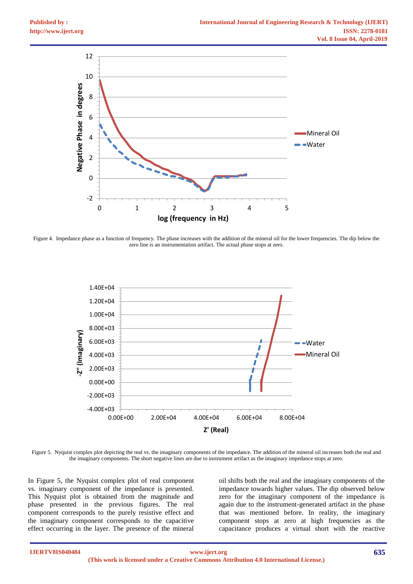

Figure 4. Impedance phase as a function of frequency. The phase increases with the addition of the mineral oil for the lower frequencies. The dip below the zero line is an instrumentation artifact. The actual phase stops at zero.



Figure 5. Nyquist complex plot depicting the real vs. the imaginary components of the impedance. The addition of the mineral oil increases both the real and the imaginary components. The short negative lines are due to instrument artifact as the imaginary impedance stops at zero.

In Figure 5, the Nyquist complex plot of real component vs. imaginary component of the impedance is presented. This Nyquist plot is obtained from the magnitude and phase presented in the previous figures. The real component corresponds to the purely resistive effect and the imaginary component corresponds to the capacitive effect occurring in the layer. The presence of the mineral

oil shifts both the real and the imaginary components of the impedance towards higher values. The dip observed below zero for the imaginary component of the impedance is again due to the instrument-generated artifact in the phase that was mentioned before. In reality, the imaginary component stops at zero at high frequencies as the capacitance produces a virtual short with the reactive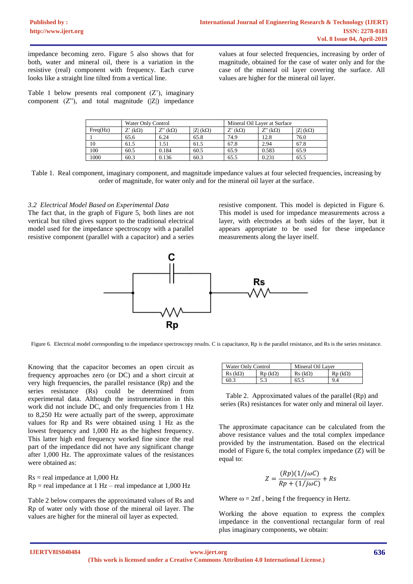impedance becoming zero. Figure 5 also shows that for both, water and mineral oil, there is a variation in the resistive (real) component with frequency. Each curve looks like a straight line tilted from a vertical line.

values at four selected frequencies, increasing by order of magnitude, obtained for the case of water only and for the case of the mineral oil layer covering the surface. All values are higher for the mineral oil layer.

Table 1 below presents real component  $(Z')$ , imaginary component  $(Z^{\prime\prime})$ , and total magnitude  $(|Z|)$  impedance

|          | Water Only Control |                |            | Mineral Oil Laver at Surface |                  |           |
|----------|--------------------|----------------|------------|------------------------------|------------------|-----------|
| Freq(Hz) | Z' (kΩ)            | $Z^*(k\Omega)$ | $ Z $ (kΩ) | $Z'$ (kΩ)                    | Z" (k $\Omega$ ) | $Z($ (kΩ) |
|          | 65.6               | 6.24           | 65.8       | 74.9                         | 12.8             | 76.0      |
| 10       | 61.5               | l .51          | 61.5       | 67.8                         | 2.94             | 67.8      |
| 100      | 60.5               | 0.184          | 60.5       | 65.9                         | 0.583            | 65.9      |
| 1000     | 60.3               | 0.136          | 60.3       | 65.5                         | 0.231            | 65.5      |

Table 1. Real component, imaginary component, and magnitude impedance values at four selected frequencies, increasing by order of magnitude, for water only and for the mineral oil layer at the surface.

## *3.2 Electrical Model Based on Experimental Data*

The fact that, in the graph of Figure 5, both lines are not vertical but tilted gives support to the traditional electrical model used for the impedance spectroscopy with a parallel resistive component (parallel with a capacitor) and a series

resistive component. This model is depicted in Figure 6. This model is used for impedance measurements across a layer, with electrodes at both sides of the layer, but it appears appropriate to be used for these impedance measurements along the layer itself.



Figure 6. Electrical model corresponding to the impedance spectroscopy results. C is capacitance, Rp is the parallel resistance, and Rs is the series resistance.

Knowing that the capacitor becomes an open circuit as frequency approaches zero (or DC) and a short circuit at very high frequencies, the parallel resistance (Rp) and the series resistance (Rs) could be determined from experimental data. Although the instrumentation in this work did not include DC, and only frequencies from 1 Hz to 8,250 Hz were actually part of the sweep, approximate values for Rp and Rs were obtained using 1 Hz as the lowest frequency and 1,000 Hz as the highest frequency. This latter high end frequency worked fine since the real part of the impedance did not have any significant change after 1,000 Hz. The approximate values of the resistances were obtained as:

 $Rs = real$  impedance at  $1,000$  Hz  $Rp = real$  impedance at 1 Hz – real impedance at 1,000 Hz

Table 2 below compares the approximated values of Rs and Rp of water only with those of the mineral oil layer. The values are higher for the mineral oil layer as expected.

| Water Only Control |                     | Mineral Oil Laver          |               |  |
|--------------------|---------------------|----------------------------|---------------|--|
| Rs (kΩ)            | R <sub>D</sub> (kΩ) | $\text{Rs }$ (k $\Omega$ ) | $Rp(k\Omega)$ |  |
| 60.3               |                     | 65.5                       | 9.4           |  |

Table 2. Approximated values of the parallel (Rp) and series (Rs) resistances for water only and mineral oil layer.

The approximate capacitance can be calculated from the above resistance values and the total complex impedance provided by the instrumentation. Based on the electrical model of Figure 6, the total complex impedance (Z) will be equal to:

$$
Z = \frac{(Rp)(1/j\omega C)}{Rp + (1/j\omega C)} + Rs
$$

Where  $\omega = 2\pi f$ , being f the frequency in Hertz.

Working the above equation to express the complex impedance in the conventional rectangular form of real plus imaginary components, we obtain: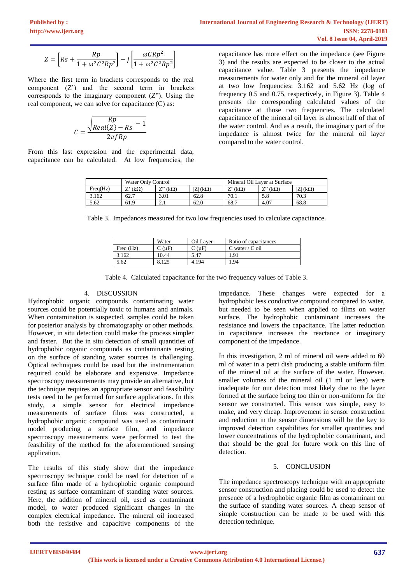$$
Z = \left[ Rs + \frac{Rp}{1 + \omega^2 C^2 R p^2} \right] - j \left[ \frac{\omega C R p^2}{1 + \omega^2 C^2 R p^2} \right]
$$

Where the first term in brackets corresponds to the real component (Z') and the second term in brackets corresponds to the imaginary component  $(Z<sup>n</sup>)$ . Using the real component, we can solve for capacitance (C) as:

$$
C = \frac{\sqrt{Real\{Z\} - Rs} - 1}{2\pi fRp}
$$

From this last expression and the experimental data, capacitance can be calculated. At low frequencies, the capacitance has more effect on the impedance (see Figure 3) and the results are expected to be closer to the actual capacitance value. Table 3 presents the impedance measurements for water only and for the mineral oil layer at two low frequencies: 3.162 and 5.62 Hz (log of frequency 0.5 and 0.75, respectively, in Figure 3). Table 4 presents the corresponding calculated values of the capacitance at those two frequencies. The calculated capacitance of the mineral oil layer is almost half of that of the water control. And as a result, the imaginary part of the impedance is almost twice for the mineral oil layer compared to the water control.

|          | Water Only Control |                         |                     | Mineral Oil Laver at Surface |                |            |
|----------|--------------------|-------------------------|---------------------|------------------------------|----------------|------------|
| Freq(Hz) | $(k\Omega)$        | $Z''(\mathrm{k}\Omega)$ | $ Z $ (k $\Omega$ ) | $Z'$ (kΩ)                    | $Z''(k\Omega)$ | $ Z $ (kΩ) |
| 3.162    | 62.7               | 3.01                    | 62.8                | 70.1                         | 5.8            | 70.3       |
| 5.62     | 61.9               | $\sim$ 1                | 62.0                | 68.7                         | $4.0^{\circ}$  | 68.8       |

Table 3. Impedances measured for two low frequencies used to calculate capacitance.

|           | Water          | Oil Laver | Ratio of capacitances |
|-----------|----------------|-----------|-----------------------|
| Freq (Hz) | $\degree$ (µF) | C(uF)     | C water / C oil       |
| 3.162     | 10.44          | 5.47      | 1.91                  |
| 5.62      |                | 4.194     | ! 94                  |

Table 4. Calculated capacitance for the two frequency values of Table 3.

## 4. DISCUSSION

Hydrophobic organic compounds contaminating water sources could be potentially toxic to humans and animals. When contamination is suspected, samples could be taken for posterior analysis by chromatography or other methods. However, in situ detection could make the process simpler and faster. But the in situ detection of small quantities of hydrophobic organic compounds as contaminants resting on the surface of standing water sources is challenging. Optical techniques could be used but the instrumentation required could be elaborate and expensive. Impedance spectroscopy measurements may provide an alternative, but the technique requires an appropriate sensor and feasibility tests need to be performed for surface applications. In this study, a simple sensor for electrical impedance measurements of surface films was constructed, a hydrophobic organic compound was used as contaminant model producing a surface film, and impedance spectroscopy measurements were performed to test the feasibility of the method for the aforementioned sensing application.

The results of this study show that the impedance spectroscopy technique could be used for detection of a surface film made of a hydrophobic organic compound resting as surface contaminant of standing water sources. Here, the addition of mineral oil, used as contaminant model, to water produced significant changes in the complex electrical impedance. The mineral oil increased both the resistive and capacitive components of the

impedance. These changes were expected for a hydrophobic less conductive compound compared to water, but needed to be seen when applied to films on water surface. The hydrophobic contaminant increases the resistance and lowers the capacitance. The latter reduction in capacitance increases the reactance or imaginary component of the impedance.

In this investigation, 2 ml of mineral oil were added to 60 ml of water in a petri dish producing a stable uniform film of the mineral oil at the surface of the water. However, smaller volumes of the mineral oil (1 ml or less) were inadequate for our detection most likely due to the layer formed at the surface being too thin or non-uniform for the sensor we constructed. This sensor was simple, easy to make, and very cheap. Improvement in sensor construction and reduction in the sensor dimensions will be the key to improved detection capabilities for smaller quantities and lower concentrations of the hydrophobic contaminant, and that should be the goal for future work on this line of detection.

## 5. CONCLUSION

The impedance spectroscopy technique with an appropriate sensor construction and placing could be used to detect the presence of a hydrophobic organic film as contaminant on the surface of standing water sources. A cheap sensor of simple construction can be made to be used with this detection technique.